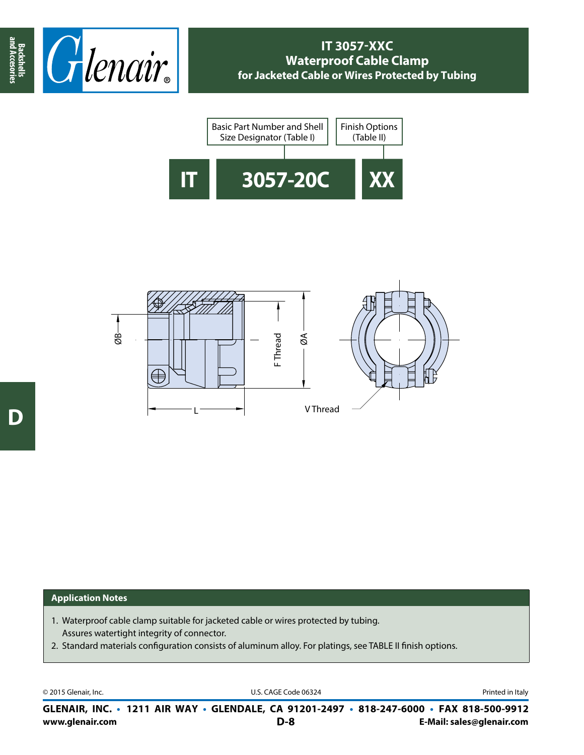





## **Application Notes**

- 1. Waterproof cable clamp suitable for jacketed cable or wires protected by tubing. Assures watertight integrity of connector.
- 2. Standard materials configuration consists of aluminum alloy. For platings, see TABLE II finish options.

© 2015 Glenair, Inc. U.S. CAGE Code 06324 Printed in Italy

**www.glenair.com E-Mail: sales@glenair.com GLENAIR, INC. • 1211 AIR WAY • GLENDALE, CA 91201-2497 • 818-247-6000 • FAX 818-500-9912 D-8**